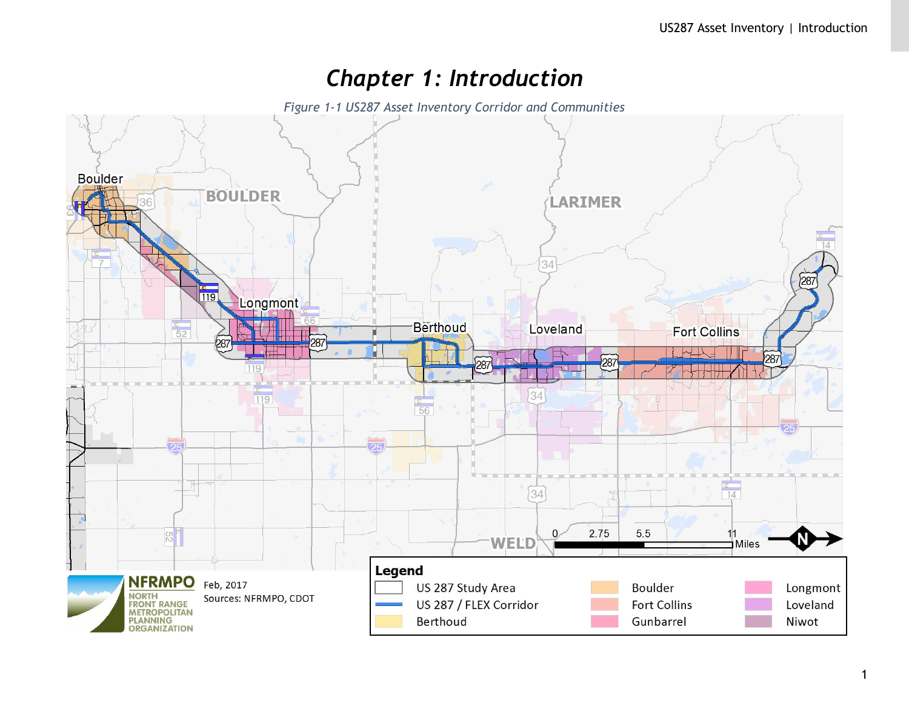# *Chapter 1: Introduction*

*Figure 1-1 US287 Asset Inventory Corridor and Communities*

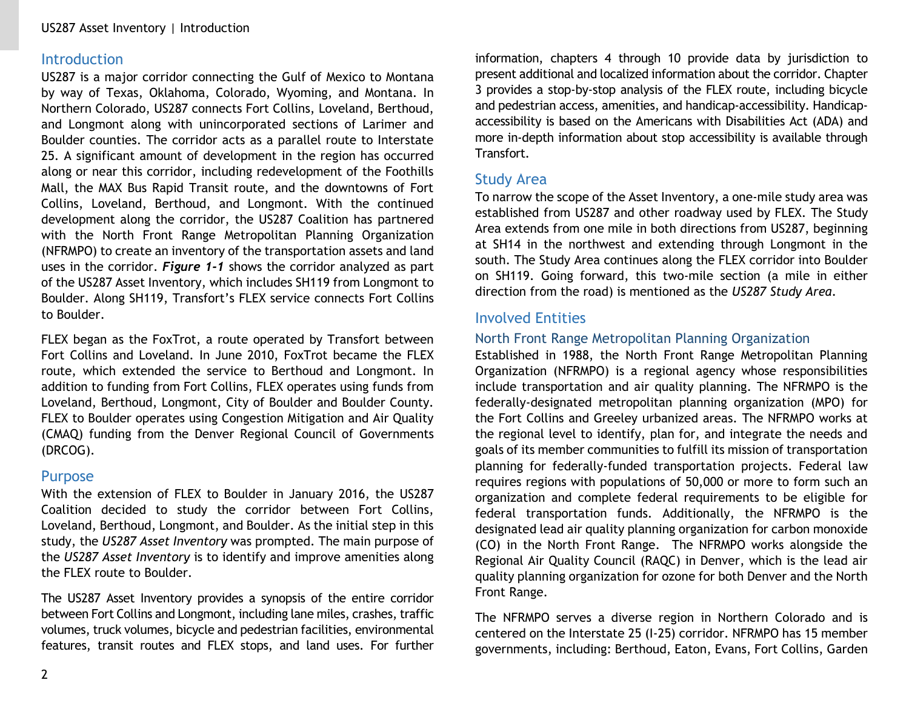## **Introduction**

US287 is a major corridor connecting the Gulf of Mexico to Montana by way of Texas, Oklahoma, Colorado, Wyoming, and Montana. In Northern Colorado, US287 connects Fort Collins, Loveland, Berthoud, and Longmont along with unincorporated sections of Larimer and Boulder counties. The corridor acts as a parallel route to Interstate 25. A significant amount of development in the region has occurred along or near this corridor, including redevelopment of the Foothills Mall, the MAX Bus Rapid Transit route, and the downtowns of Fort Collins, Loveland, Berthoud, and Longmont. With the continued development along the corridor, the US287 Coalition has partnered with the North Front Range Metropolitan Planning Organization (NFRMPO) to create an inventory of the transportation assets and land uses in the corridor. *Figure 1-1* shows the corridor analyzed as part of the US287 Asset Inventory, which includes SH119 from Longmont to Boulder. Along SH119, Transfort's FLEX service connects Fort Collins to Boulder.

FLEX began as the FoxTrot, a route operated by Transfort between Fort Collins and Loveland. In June 2010, FoxTrot became the FLEX route, which extended the service to Berthoud and Longmont. In addition to funding from Fort Collins, FLEX operates using funds from Loveland, Berthoud, Longmont, City of Boulder and Boulder County. FLEX to Boulder operates using Congestion Mitigation and Air Quality (CMAQ) funding from the Denver Regional Council of Governments (DRCOG).

### Purpose

With the extension of FLEX to Boulder in January 2016, the US287 Coalition decided to study the corridor between Fort Collins, Loveland, Berthoud, Longmont, and Boulder. As the initial step in this study, the *US287 Asset Inventory* was prompted. The main purpose of the *US287 Asset Inventory* is to identify and improve amenities along the FLEX route to Boulder.

The US287 Asset Inventory provides a synopsis of the entire corridor between Fort Collins and Longmont, including lane miles, crashes, traffic volumes, truck volumes, bicycle and pedestrian facilities, environmental features, transit routes and FLEX stops, and land uses. For further information, chapters 4 through 10 provide data by jurisdiction to present additional and localized information about the corridor. Chapter 3 provides a stop-by-stop analysis of the FLEX route, including bicycle and pedestrian access, amenities, and handicap-accessibility. Handicapaccessibility is based on the Americans with Disabilities Act (ADA) and more in-depth information about stop accessibility is available through Transfort.

## Study Area

To narrow the scope of the Asset Inventory, a one-mile study area was established from US287 and other roadway used by FLEX. The Study Area extends from one mile in both directions from US287, beginning at SH14 in the northwest and extending through Longmont in the south. The Study Area continues along the FLEX corridor into Boulder on SH119. Going forward, this two-mile section (a mile in either direction from the road) is mentioned as the *US287 Study Area*.

## Involved Entities

## North Front Range Metropolitan Planning Organization

Established in 1988, the North Front Range Metropolitan Planning Organization (NFRMPO) is a regional agency whose responsibilities include transportation and air quality planning. The NFRMPO is the federally-designated metropolitan planning organization (MPO) for the Fort Collins and Greeley urbanized areas. The NFRMPO works at the regional level to identify, plan for, and integrate the needs and goals of its member communities to fulfill its mission of transportation planning for federally-funded transportation projects. Federal law requires regions with populations of 50,000 or more to form such an organization and complete federal requirements to be eligible for federal transportation funds. Additionally, the NFRMPO is the designated lead air quality planning organization for carbon monoxide (CO) in the North Front Range. The NFRMPO works alongside the Regional Air Quality Council (RAQC) in Denver, which is the lead air quality planning organization for ozone for both Denver and the North Front Range.

The NFRMPO serves a diverse region in Northern Colorado and is centered on the Interstate 25 (I-25) corridor. NFRMPO has 15 member governments, including: Berthoud, Eaton, Evans, Fort Collins, Garden